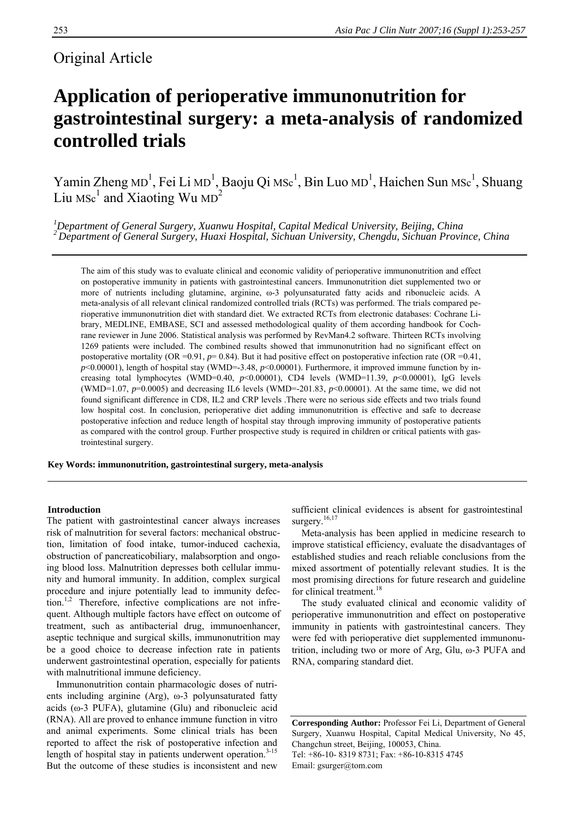# Original Article

# **Application of perioperative immunonutrition for gastrointestinal surgery: a meta-analysis of randomized controlled trials**

Yamin Zheng MD<sup>1</sup>, Fei Li MD<sup>1</sup>, Baoju Qi MSc<sup>1</sup>, Bin Luo MD<sup>1</sup>, Haichen Sun MSc<sup>1</sup>, Shuang Liu Msc<sup>1</sup> and Xiaoting Wu MD<sup>2</sup>

<sup>1</sup>Department of General Surgery, Xuanwu Hospital, Capital Medical University, Beijing, China <sup>2</sup> Department of General Surgery, Huaxi Hospital, Sichuan University, Chengdu, Sichuan Province, China

The aim of this study was to evaluate clinical and economic validity of perioperative immunonutrition and effect on postoperative immunity in patients with gastrointestinal cancers. Immunonutrition diet supplemented two or more of nutrients including glutamine, arginine, ω-3 polyunsaturated fatty acids and ribonucleic acids. A meta-analysis of all relevant clinical randomized controlled trials (RCTs) was performed. The trials compared perioperative immunonutrition diet with standard diet. We extracted RCTs from electronic databases: Cochrane Library, MEDLINE, EMBASE, SCI and assessed methodological quality of them according handbook for Cochrane reviewer in June 2006. Statistical analysis was performed by RevMan4.2 software. Thirteen RCTs involving 1269 patients were included. The combined results showed that immunonutrition had no significant effect on postoperative mortality (OR =0.91,  $p= 0.84$ ). But it had positive effect on postoperative infection rate (OR =0.41, *p*<0.00001), length of hospital stay (WMD=-3.48, *p*<0.00001). Furthermore, it improved immune function by increasing total lymphocytes (WMD=0.40, *p*<0.00001), CD4 levels (WMD=11.39, *p*<0.00001), IgG levels (WMD=1.07,  $p=0.0005$ ) and decreasing IL6 levels (WMD=-201.83,  $p<0.00001$ ). At the same time, we did not found significant difference in CD8, IL2 and CRP levels .There were no serious side effects and two trials found low hospital cost. In conclusion, perioperative diet adding immunonutrition is effective and safe to decrease postoperative infection and reduce length of hospital stay through improving immunity of postoperative patients as compared with the control group. Further prospective study is required in children or critical patients with gastrointestinal surgery.

**Key Words: immunonutrition, gastrointestinal surgery, meta-analysis** 

### **Introduction**

The patient with gastrointestinal cancer always increases risk of malnutrition for several factors: mechanical obstruction, limitation of food intake, tumor-induced cachexia, obstruction of pancreaticobiliary, malabsorption and ongoing blood loss. Malnutrition depresses both cellular immunity and humoral immunity. In addition, complex surgical procedure and injure potentially lead to immunity defection.<sup>1,2</sup> Therefore, infective complications are not infrequent. Although multiple factors have effect on outcome of treatment, such as antibacterial drug, immunoenhancer, aseptic technique and surgical skills, immunonutrition may be a good choice to decrease infection rate in patients underwent gastrointestinal operation, especially for patients with malnutritional immune deficiency.

Immunonutrition contain pharmacologic doses of nutrients including arginine (Arg), ω-3 polyunsaturated fatty acids (ω-3 PUFA), glutamine (Glu) and ribonucleic acid (RNA). All are proved to enhance immune function in vitro and animal experiments. Some clinical trials has been reported to affect the risk of postoperative infection and length of hospital stay in patients underwent operation. $3-15$ But the outcome of these studies is inconsistent and new

sufficient clinical evidences is absent for gastrointestinal surgery.<sup>16,17</sup>

Meta-analysis has been applied in medicine research to improve statistical efficiency, evaluate the disadvantages of established studies and reach reliable conclusions from the mixed assortment of potentially relevant studies. It is the most promising directions for future research and guideline for clinical treatment.<sup>18</sup>

The study evaluated clinical and economic validity of perioperative immunonutrition and effect on postoperative immunity in patients with gastrointestinal cancers. They were fed with perioperative diet supplemented immunonutrition, including two or more of Arg, Glu, ω-3 PUFA and RNA, comparing standard diet.

**Corresponding Author:** Professor Fei Li, Department of General Surgery, Xuanwu Hospital, Capital Medical University, No 45, Changchun street, Beijing, 100053, China. Tel: +86-10- 8319 8731; Fax: +86-10-8315 4745 Email: gsurger@tom.com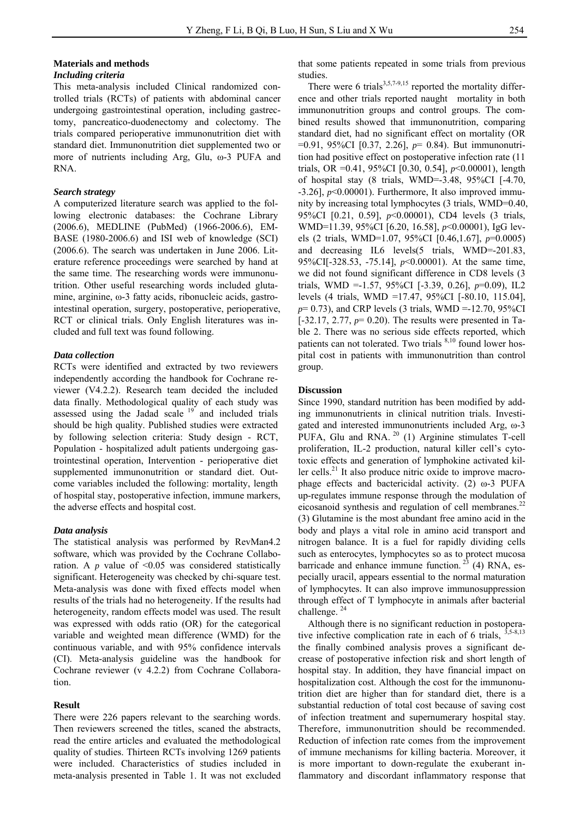# **Materials and methods**

## *Including criteria*

This meta-analysis included Clinical randomized controlled trials (RCTs) of patients with abdominal cancer undergoing gastrointestinal operation, including gastrectomy, pancreatico-duodenectomy and colectomy. The trials compared perioperative immunonutrition diet with standard diet. Immunonutrition diet supplemented two or more of nutrients including Arg, Glu, ω-3 PUFA and RNA.

#### *Search strategy*

A computerized literature search was applied to the following electronic databases: the Cochrane Library (2006.6), MEDLINE (PubMed) (1966-2006.6), EM-BASE (1980-2006.6) and ISI web of knowledge (SCI) (2006.6). The search was undertaken in June 2006. Literature reference proceedings were searched by hand at the same time. The researching words were immunonutrition. Other useful researching words included glutamine, arginine, ω-3 fatty acids, ribonucleic acids, gastrointestinal operation, surgery, postoperative, perioperative, RCT or clinical trials. Only English literatures was included and full text was found following.

#### *Data collection*

RCTs were identified and extracted by two reviewers independently according the handbook for Cochrane reviewer (V4.2.2). Research team decided the included data finally. Methodological quality of each study was assessed using the Jadad scale 19 and included trials should be high quality. Published studies were extracted by following selection criteria: Study design - RCT, Population - hospitalized adult patients undergoing gastrointestinal operation, Intervention - perioperative diet supplemented immunonutrition or standard diet. Outcome variables included the following: mortality, length of hospital stay, postoperative infection, immune markers, the adverse effects and hospital cost.

#### *Data analysis*

The statistical analysis was performed by RevMan4.2 software, which was provided by the Cochrane Collaboration. A  $p$  value of  $\leq 0.05$  was considered statistically significant. Heterogeneity was checked by chi-square test. Meta-analysis was done with fixed effects model when results of the trials had no heterogeneity. If the results had heterogeneity, random effects model was used. The result was expressed with odds ratio (OR) for the categorical variable and weighted mean difference (WMD) for the continuous variable, and with 95% confidence intervals (CI). Meta-analysis guideline was the handbook for Cochrane reviewer (v 4.2.2) from Cochrane Collaboration.

#### **Result**

There were 226 papers relevant to the searching words. Then reviewers screened the titles, scaned the abstracts, read the entire articles and evaluated the methodological quality of studies. Thirteen RCTs involving 1269 patients were included. Characteristics of studies included in meta-analysis presented in Table 1. It was not excluded

that some patients repeated in some trials from previous studies.

There were 6 trials $3,5,7-9,15$  reported the mortality difference and other trials reported naught mortality in both immunonutrition groups and control groups. The combined results showed that immunonutrition, comparing standard diet, had no significant effect on mortality (OR =0.91, 95%CI [0.37, 2.26], *p*= 0.84). But immunonutrition had positive effect on postoperative infection rate (11 trials, OR =0.41, 95%CI [0.30, 0.54], *p*<0.00001), length of hospital stay (8 trials, WMD=-3.48, 95%CI [-4.70,  $-3.26$ ],  $p<0.00001$ ). Furthermore, It also improved immunity by increasing total lymphocytes (3 trials, WMD=0.40, 95%CI [0.21, 0.59], *p*<0.00001), CD4 levels (3 trials, WMD=11.39, 95%CI [6.20, 16.58], *p*<0.00001), IgG levels (2 trials, WMD=1.07, 95%CI [0.46,1.67], *p*=0.0005) and decreasing IL6 levels(5 trials, WMD=-201.83, 95%CI[-328.53, -75.14], *p*<0.00001). At the same time, we did not found significant difference in CD8 levels (3 trials, WMD =-1.57, 95%CI [-3.39, 0.26], *p*=0.09), IL2 levels (4 trials, WMD =17.47, 95%CI [-80.10, 115.04], *p*= 0.73), and CRP levels (3 trials, WMD =-12.70, 95%CI [-32.17, 2.77, *p*= 0.20). The results were presented in Table 2. There was no serious side effects reported, which patients can not tolerated. Two trials <sup>8,10</sup> found lower hospital cost in patients with immunonutrition than control group.

#### **Discussion**

Since 1990, standard nutrition has been modified by adding immunonutrients in clinical nutrition trials. Investigated and interested immunonutrients included Arg, ω-3 PUFA, Glu and RNA.<sup>20</sup> (1) Arginine stimulates T-cell proliferation, IL-2 production, natural killer cell's cytotoxic effects and generation of lymphokine activated killer cells.<sup>21</sup> It also produce nitric oxide to improve macrophage effects and bactericidal activity. (2) ω-3 PUFA up-regulates immune response through the modulation of eicosanoid synthesis and regulation of cell membranes.<sup>22</sup> (3) Glutamine is the most abundant free amino acid in the body and plays a vital role in amino acid transport and nitrogen balance. It is a fuel for rapidly dividing cells such as enterocytes, lymphocytes so as to protect mucosa barricade and enhance immune function.<sup>23</sup> (4) RNA, especially uracil, appears essential to the normal maturation of lymphocytes. It can also improve immunosuppression through effect of T lymphocyte in animals after bacterial challenge.<sup>24</sup>

Although there is no significant reduction in postoperative infective complication rate in each of 6 trials, 3,5-8,13 the finally combined analysis proves a significant decrease of postoperative infection risk and short length of hospital stay. In addition, they have financial impact on hospitalization cost. Although the cost for the immunonutrition diet are higher than for standard diet, there is a substantial reduction of total cost because of saving cost of infection treatment and supernumerary hospital stay. Therefore, immunonutrition should be recommended. Reduction of infection rate comes from the improvement of immune mechanisms for killing bacteria. Moreover, it is more important to down-regulate the exuberant inflammatory and discordant inflammatory response that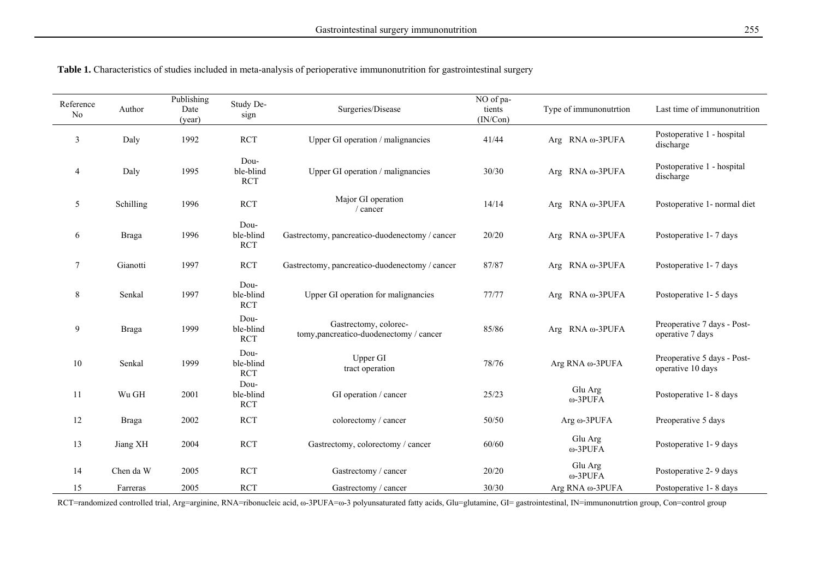| Reference<br>N <sub>0</sub> | Author       | Publishing<br>Date<br>(year) | Study De-<br>sign               | Surgeries/Disease                                                | NO of pa-<br>tients<br>(IN/Con) | Type of immunonutrtion       | Last time of immunonutrition                     |
|-----------------------------|--------------|------------------------------|---------------------------------|------------------------------------------------------------------|---------------------------------|------------------------------|--------------------------------------------------|
| 3                           | Daly         | 1992                         | <b>RCT</b>                      | Upper GI operation / malignancies                                | 41/44                           | Arg $\,$ RNA $\omega$ -3PUFA | Postoperative 1 - hospital<br>discharge          |
| $\overline{4}$              | Daly         | 1995                         | Dou-<br>ble-blind<br><b>RCT</b> | Upper GI operation / malignancies                                | 30/30                           | Arg $RNA \omega-3PUFA$       | Postoperative 1 - hospital<br>discharge          |
| 5                           | Schilling    | 1996                         | <b>RCT</b>                      | Major GI operation<br>/ cancer                                   | 14/14                           | Arg $RNA \omega-3PUFA$       | Postoperative 1- normal diet                     |
| 6                           | <b>Braga</b> | 1996                         | Dou-<br>ble-blind<br><b>RCT</b> | Gastrectomy, pancreatico-duodenectomy / cancer                   | 20/20                           | Arg $RNA \omega-3PUFA$       | Postoperative 1-7 days                           |
| 7                           | Gianotti     | 1997                         | <b>RCT</b>                      | Gastrectomy, pancreatico-duodenectomy / cancer                   | 87/87                           | Arg $RNA \omega-3PUFA$       | Postoperative 1-7 days                           |
| 8                           | Senkal       | 1997                         | Dou-<br>ble-blind<br><b>RCT</b> | Upper GI operation for malignancies                              | 77/77                           | Arg $RNA \omega-3PUFA$       | Postoperative 1-5 days                           |
| 9                           | <b>Braga</b> | 1999                         | Dou-<br>ble-blind<br><b>RCT</b> | Gastrectomy, colorec-<br>tomy, pancreatico-duodenectomy / cancer | 85/86                           | Arg $RNA \omega-3PUFA$       | Preoperative 7 days - Post-<br>operative 7 days  |
| 10                          | Senkal       | 1999                         | Dou-<br>ble-blind<br><b>RCT</b> | Upper GI<br>tract operation                                      | 78/76                           | Arg RNA ω-3PUFA              | Preoperative 5 days - Post-<br>operative 10 days |
| 11                          | Wu GH        | 2001                         | Dou-<br>ble-blind<br><b>RCT</b> | GI operation / cancer                                            | 25/23                           | Glu Arg<br>ω-3PUFA           | Postoperative 1-8 days                           |
| 12                          | <b>Braga</b> | 2002                         | <b>RCT</b>                      | colorectomy / cancer                                             | 50/50                           | Arg $\omega$ -3PUFA          | Preoperative 5 days                              |
| 13                          | Jiang XH     | 2004                         | <b>RCT</b>                      | Gastrectomy, colorectomy / cancer                                | 60/60                           | Glu Arg<br>ω-3PUFA           | Postoperative 1-9 days                           |
| 14                          | Chen da W    | 2005                         | <b>RCT</b>                      | Gastrectomy / cancer                                             | 20/20                           | Glu Arg<br>ω-3PUFA           | Postoperative 2-9 days                           |
| 15                          | Farreras     | 2005                         | <b>RCT</b>                      | Gastrectomy / cancer                                             | 30/30                           | Arg RNA ω-3PUFA              | Postoperative 1-8 days                           |

**Table 1.** Characteristics of studies included in meta-analysis of perioperative immunonutrition for gastrointestinal surgery

RCT=randomized controlled trial, Arg=arginine, RNA=ribonucleic acid, ω-3PUFA=ω-3 polyunsaturated fatty acids, Glu=glutamine, GI= gastrointestinal, IN=immunonutrtion group, Con=control group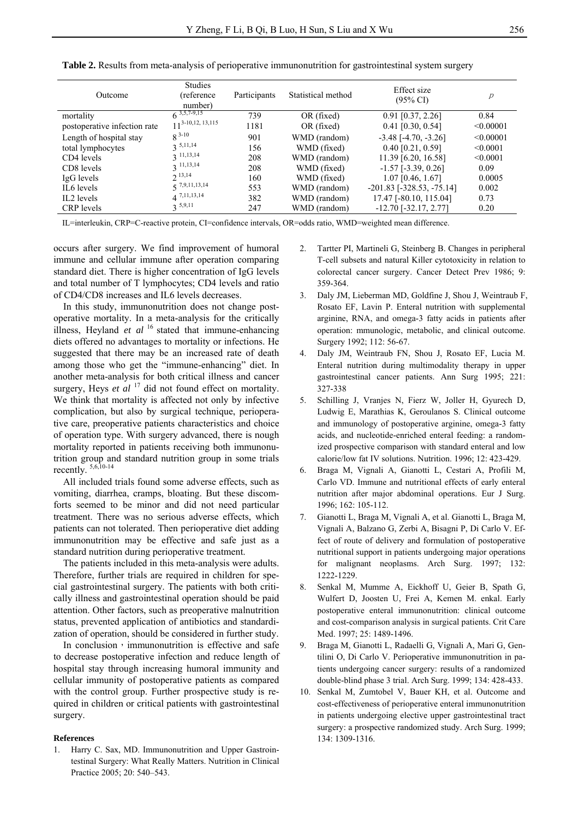| Outcome                      | <b>Studies</b><br>(reference)<br>number) | Participants | Statistical method | Effect size<br>$(95\% \text{ CI})$ | р         |
|------------------------------|------------------------------------------|--------------|--------------------|------------------------------------|-----------|
| mortality                    | $6^{3,5,7-9,15}$                         | 739          | OR (fixed)         | $0.91$ [0.37, 2.26]                | 0.84      |
| postoperative infection rate | $11^{3-10,12,13,115}$                    | 1181         | OR (fixed)         | $0.41$ [0.30, 0.54]                | < 0.00001 |
| Length of hospital stay      | $8^{3-10}$                               | 901          | WMD (random)       | $-3.48$ $[-4.70, -3.26]$           | < 0.00001 |
| total lymphocytes            | $3^{5,11,14}$                            | 156          | WMD (fixed)        | $0.40$ [0.21, 0.59]                | < 0.0001  |
| CD4 levels                   | $3$ 11,13,14                             | 208          | WMD (random)       | 11.39 [6.20, 16.58]                | < 0.0001  |
| CD8 levels                   | $2$ 11,13,14                             | 208          | WMD (fixed)        | $-1.57$ [ $-3.39, 0.26$ ]          | 0.09      |
| IgG levels                   | $2^{13,14}$                              | 160          | WMD (fixed)        | $1.07$ [0.46, 1.67]                | 0.0005    |
| IL6 levels                   | $5^{7,9,11,13,14}$                       | 553          | WMD (random)       | $-201.83$ [ $-328.53$ , $-75.14$ ] | 0.002     |
| IL2 levels                   | $4^{7,11,13,14}$                         | 382          | WMD (random)       | 17.47 [-80.10, 115.04]             | 0.73      |
| CRP levels                   | $3^{5,9,11}$                             | 247          | WMD (random)       | $-12.70$ [ $-32.17, 2.77$ ]        | 0.20      |

**Table 2.** Results from meta-analysis of perioperative immunonutrition for gastrointestinal system surgery

IL=interleukin, CRP=C-reactive protein, CI=confidence intervals, OR=odds ratio, WMD=weighted mean difference.

occurs after surgery. We find improvement of humoral immune and cellular immune after operation comparing standard diet. There is higher concentration of IgG levels and total number of T lymphocytes; CD4 levels and ratio of CD4/CD8 increases and IL6 levels decreases.

In this study, immunonutrition does not change postoperative mortality. In a meta-analysis for the critically illness, Heyland *et al* 16 stated that immune-enhancing diets offered no advantages to mortality or infections. He suggested that there may be an increased rate of death among those who get the "immune-enhancing" diet. In another meta-analysis for both critical illness and cancer surgery, Heys *et al* <sup>17</sup> did not found effect on mortality. We think that mortality is affected not only by infective complication, but also by surgical technique, perioperative care, preoperative patients characteristics and choice of operation type. With surgery advanced, there is nough mortality reported in patients receiving both immunonutrition group and standard nutrition group in some trials recently. 5,6,10-14

All included trials found some adverse effects, such as vomiting, diarrhea, cramps, bloating. But these discomforts seemed to be minor and did not need particular treatment. There was no serious adverse effects, which patients can not tolerated. Then perioperative diet adding immunonutrition may be effective and safe just as a standard nutrition during perioperative treatment.

The patients included in this meta-analysis were adults. Therefore, further trials are required in children for special gastrointestinal surgery. The patients with both critically illness and gastrointestinal operation should be paid attention. Other factors, such as preoperative malnutrition status, prevented application of antibiotics and standardization of operation, should be considered in further study.

In conclusion, immunonutrition is effective and safe to decrease postoperative infection and reduce length of hospital stay through increasing humoral immunity and cellular immunity of postoperative patients as compared with the control group. Further prospective study is required in children or critical patients with gastrointestinal surgery.

#### **References**

1. Harry C. Sax, MD. Immunonutrition and Upper Gastrointestinal Surgery: What Really Matters. Nutrition in Clinical Practice 2005; 20: 540–543.

- 2. Tartter PI, Martineli G, Steinberg B. Changes in peripheral T-cell subsets and natural Killer cytotoxicity in relation to colorectal cancer surgery. Cancer Detect Prev 1986; 9: 359-364.
- 3. Daly JM, Lieberman MD, Goldfine J, Shou J, Weintraub F, Rosato EF, Lavin P. Enteral nutrition with supplemental arginine, RNA, and omega-3 fatty acids in patients after operation: mmunologic, metabolic, and clinical outcome. Surgery 1992; 112: 56-67.
- 4. Daly JM, Weintraub FN, Shou J, Rosato EF, Lucia M. Enteral nutrition during multimodality therapy in upper gastrointestinal cancer patients. Ann Surg 1995; 221: 327-338
- 5. Schilling J, Vranjes N, Fierz W, Joller H, Gyurech D, Ludwig E, Marathias K, Geroulanos S. Clinical outcome and immunology of postoperative arginine, omega-3 fatty acids, and nucleotide-enriched enteral feeding: a randomized prospective comparison with standard enteral and low calorie/low fat IV solutions. Nutrition. 1996; 12: 423-429.
- 6. Braga M, Vignali A, Gianotti L, Cestari A, Profili M, Carlo VD. Immune and nutritional effects of early enteral nutrition after major abdominal operations. Eur J Surg. 1996; 162: 105-112.
- 7. Gianotti L, Braga M, Vignali A, et al. Gianotti L, Braga M, Vignali A, Balzano G, Zerbi A, Bisagni P, Di Carlo V. Effect of route of delivery and formulation of postoperative nutritional support in patients undergoing major operations for malignant neoplasms. Arch Surg. 1997; 132: 1222-1229.
- 8. Senkal M, Mumme A, Eickhoff U, Geier B, Spath G, Wulfert D, Joosten U, Frei A, Kemen M. enkal. Early postoperative enteral immunonutrition: clinical outcome and cost-comparison analysis in surgical patients. Crit Care Med. 1997; 25: 1489-1496.
- 9. Braga M, Gianotti L, Radaelli G, Vignali A, Mari G, Gentilini O, Di Carlo V. Perioperative immunonutrition in patients undergoing cancer surgery: results of a randomized double-blind phase 3 trial. Arch Surg. 1999; 134: 428-433.
- 10. Senkal M, Zumtobel V, Bauer KH, et al. Outcome and cost-effectiveness of perioperative enteral immunonutrition in patients undergoing elective upper gastrointestinal tract surgery: a prospective randomized study. Arch Surg. 1999; 134: 1309-1316.